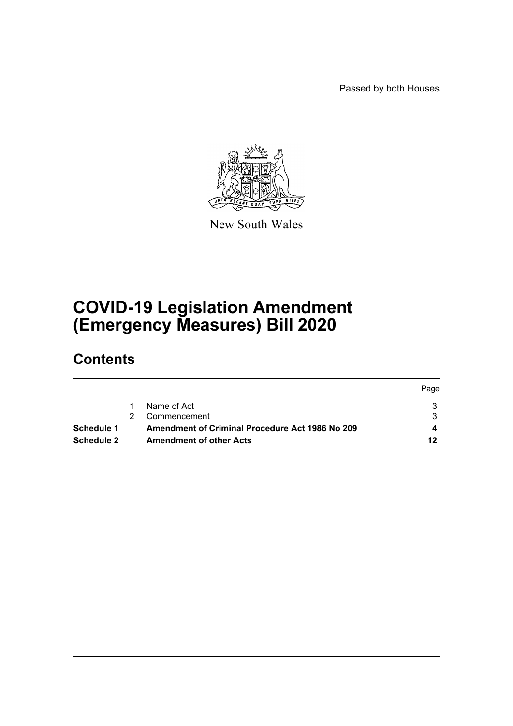Passed by both Houses



New South Wales

# **COVID-19 Legislation Amendment (Emergency Measures) Bill 2020**

# **Contents**

|            |                                                        | Page |
|------------|--------------------------------------------------------|------|
|            | Name of Act                                            |      |
|            | Commencement                                           |      |
| Schedule 1 | <b>Amendment of Criminal Procedure Act 1986 No 209</b> |      |
| Schedule 2 | <b>Amendment of other Acts</b>                         | 12   |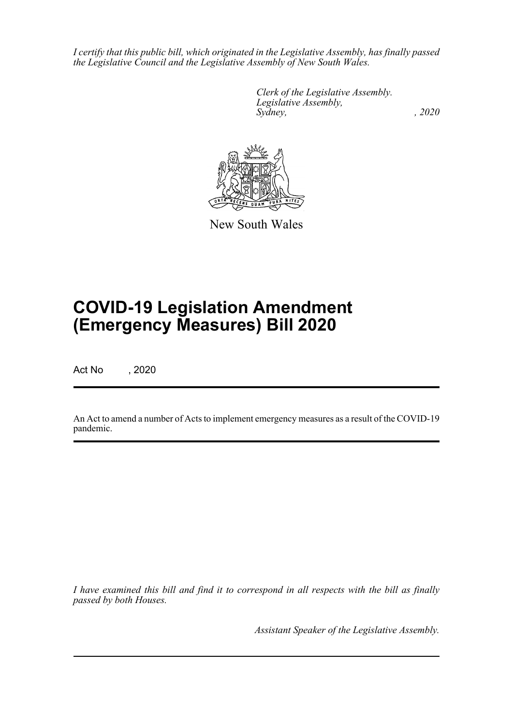*I certify that this public bill, which originated in the Legislative Assembly, has finally passed the Legislative Council and the Legislative Assembly of New South Wales.*

> *Clerk of the Legislative Assembly. Legislative Assembly, Sydney, , 2020*



New South Wales

# **COVID-19 Legislation Amendment (Emergency Measures) Bill 2020**

Act No , 2020

An Act to amend a number of Acts to implement emergency measures as a result of the COVID-19 pandemic.

*I have examined this bill and find it to correspond in all respects with the bill as finally passed by both Houses.*

*Assistant Speaker of the Legislative Assembly.*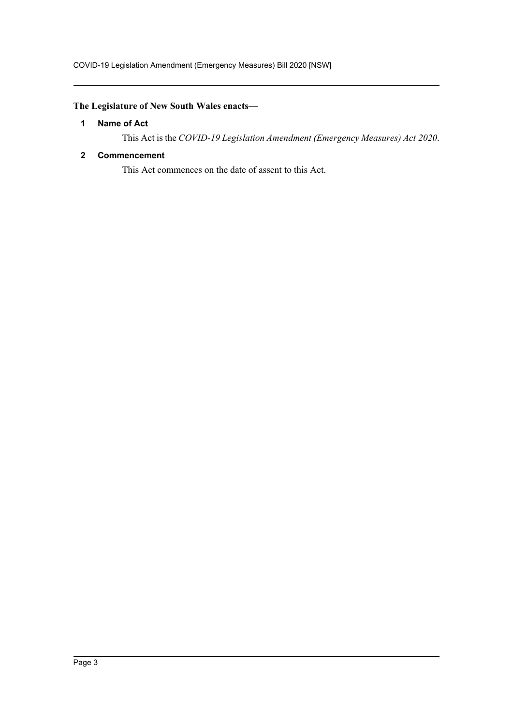## <span id="page-2-0"></span>**The Legislature of New South Wales enacts—**

#### **1 Name of Act**

This Act is the *COVID-19 Legislation Amendment (Emergency Measures) Act 2020*.

#### <span id="page-2-1"></span>**2 Commencement**

This Act commences on the date of assent to this Act.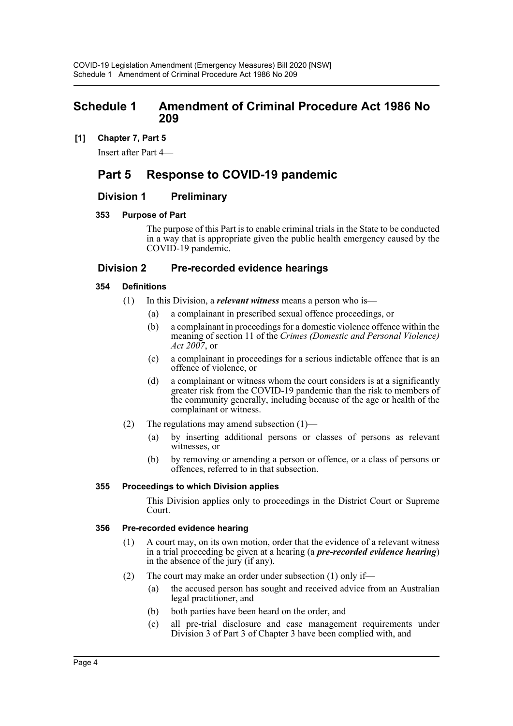## <span id="page-3-0"></span>**Schedule 1 Amendment of Criminal Procedure Act 1986 No 209**

#### **[1] Chapter 7, Part 5**

Insert after Part 4—

## **Part 5 Response to COVID-19 pandemic**

#### **Division 1 Preliminary**

#### **353 Purpose of Part**

The purpose of this Part is to enable criminal trials in the State to be conducted in a way that is appropriate given the public health emergency caused by the COVID-19 pandemic.

#### **Division 2 Pre-recorded evidence hearings**

#### **354 Definitions**

- (1) In this Division, a *relevant witness* means a person who is—
	- (a) a complainant in prescribed sexual offence proceedings, or
	- (b) a complainant in proceedings for a domestic violence offence within the meaning of section 11 of the *Crimes (Domestic and Personal Violence) Act 2007*, or
	- (c) a complainant in proceedings for a serious indictable offence that is an offence of violence, or
	- (d) a complainant or witness whom the court considers is at a significantly greater risk from the COVID-19 pandemic than the risk to members of the community generally, including because of the age or health of the complainant or witness.
- (2) The regulations may amend subsection  $(1)$ 
	- (a) by inserting additional persons or classes of persons as relevant witnesses, or
	- (b) by removing or amending a person or offence, or a class of persons or offences, referred to in that subsection.

#### **355 Proceedings to which Division applies**

This Division applies only to proceedings in the District Court or Supreme Court.

#### **356 Pre-recorded evidence hearing**

- (1) A court may, on its own motion, order that the evidence of a relevant witness in a trial proceeding be given at a hearing (a *pre-recorded evidence hearing*) in the absence of the jury (if any).
- (2) The court may make an order under subsection (1) only if—
	- (a) the accused person has sought and received advice from an Australian legal practitioner, and
	- (b) both parties have been heard on the order, and
	- (c) all pre-trial disclosure and case management requirements under Division 3 of Part 3 of Chapter 3 have been complied with, and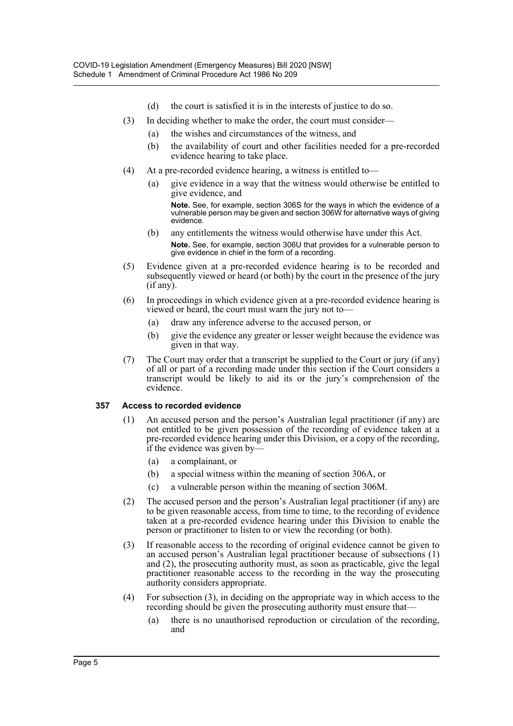- (d) the court is satisfied it is in the interests of justice to do so.
- (3) In deciding whether to make the order, the court must consider—
	- (a) the wishes and circumstances of the witness, and
	- (b) the availability of court and other facilities needed for a pre-recorded evidence hearing to take place.
- (4) At a pre-recorded evidence hearing, a witness is entitled to—
	- (a) give evidence in a way that the witness would otherwise be entitled to give evidence, and

**Note.** See, for example, section 306S for the ways in which the evidence of a vulnerable person may be given and section 306W for alternative ways of giving evidence.

- (b) any entitlements the witness would otherwise have under this Act. **Note.** See, for example, section 306U that provides for a vulnerable person to give evidence in chief in the form of a recording.
- (5) Evidence given at a pre-recorded evidence hearing is to be recorded and subsequently viewed or heard (or both) by the court in the presence of the jury (if any).
- (6) In proceedings in which evidence given at a pre-recorded evidence hearing is viewed or heard, the court must warn the jury not to—
	- (a) draw any inference adverse to the accused person, or
	- (b) give the evidence any greater or lesser weight because the evidence was given in that way.
- (7) The Court may order that a transcript be supplied to the Court or jury (if any) of all or part of a recording made under this section if the Court considers a transcript would be likely to aid its or the jury's comprehension of the evidence.

#### **357 Access to recorded evidence**

- (1) An accused person and the person's Australian legal practitioner (if any) are not entitled to be given possession of the recording of evidence taken at a pre-recorded evidence hearing under this Division, or a copy of the recording, if the evidence was given by—
	- (a) a complainant, or
	- (b) a special witness within the meaning of section 306A, or
	- (c) a vulnerable person within the meaning of section 306M.
- (2) The accused person and the person's Australian legal practitioner (if any) are to be given reasonable access, from time to time, to the recording of evidence taken at a pre-recorded evidence hearing under this Division to enable the person or practitioner to listen to or view the recording (or both).
- (3) If reasonable access to the recording of original evidence cannot be given to an accused person's Australian legal practitioner because of subsections (1) and (2), the prosecuting authority must, as soon as practicable, give the legal practitioner reasonable access to the recording in the way the prosecuting authority considers appropriate.
- (4) For subsection (3), in deciding on the appropriate way in which access to the recording should be given the prosecuting authority must ensure that—
	- (a) there is no unauthorised reproduction or circulation of the recording, and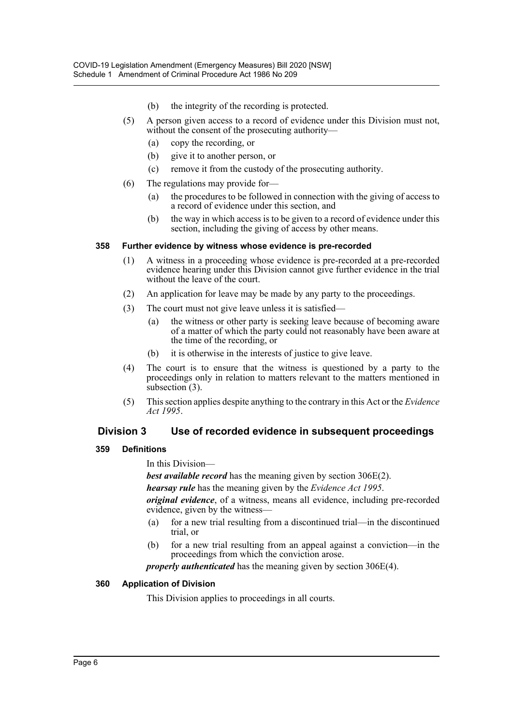- (b) the integrity of the recording is protected.
- (5) A person given access to a record of evidence under this Division must not, without the consent of the prosecuting authority—
	- (a) copy the recording, or
	- (b) give it to another person, or
	- (c) remove it from the custody of the prosecuting authority.
- (6) The regulations may provide for—
	- (a) the procedures to be followed in connection with the giving of access to a record of evidence under this section, and
	- (b) the way in which access is to be given to a record of evidence under this section, including the giving of access by other means.

#### **358 Further evidence by witness whose evidence is pre-recorded**

- (1) A witness in a proceeding whose evidence is pre-recorded at a pre-recorded evidence hearing under this Division cannot give further evidence in the trial without the leave of the court.
- (2) An application for leave may be made by any party to the proceedings.
- (3) The court must not give leave unless it is satisfied—
	- (a) the witness or other party is seeking leave because of becoming aware of a matter of which the party could not reasonably have been aware at the time of the recording, or
	- (b) it is otherwise in the interests of justice to give leave.
- (4) The court is to ensure that the witness is questioned by a party to the proceedings only in relation to matters relevant to the matters mentioned in subsection (3).
- (5) This section applies despite anything to the contrary in this Act or the *Evidence Act 1995*.

## **Division 3 Use of recorded evidence in subsequent proceedings**

#### **359 Definitions**

In this Division—

*best available record* has the meaning given by section 306E(2).

*hearsay rule* has the meaning given by the *Evidence Act 1995*.

*original evidence*, of a witness, means all evidence, including pre-recorded evidence, given by the witness—

- (a) for a new trial resulting from a discontinued trial—in the discontinued trial, or
- (b) for a new trial resulting from an appeal against a conviction—in the proceedings from which the conviction arose.

*properly authenticated* has the meaning given by section 306E(4).

#### **360 Application of Division**

This Division applies to proceedings in all courts.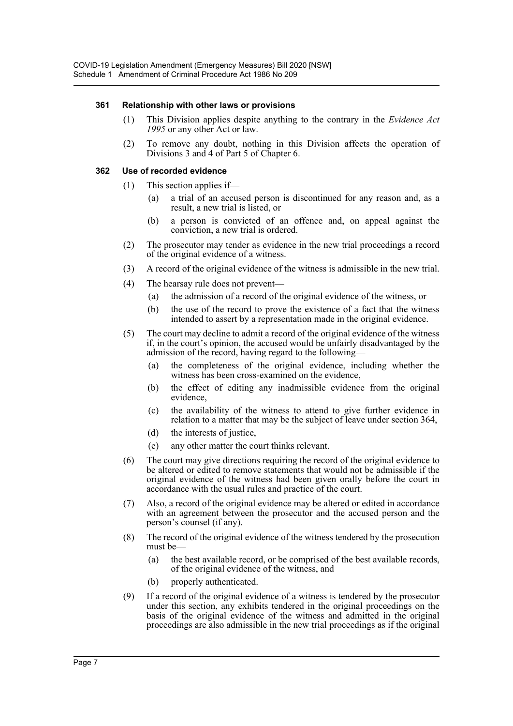#### **361 Relationship with other laws or provisions**

- (1) This Division applies despite anything to the contrary in the *Evidence Act 1995* or any other Act or law.
- (2) To remove any doubt, nothing in this Division affects the operation of Divisions 3 and 4 of Part 5 of Chapter 6.

#### **362 Use of recorded evidence**

- (1) This section applies if
	- a trial of an accused person is discontinued for any reason and, as a result, a new trial is listed, or
	- (b) a person is convicted of an offence and, on appeal against the conviction, a new trial is ordered.
- (2) The prosecutor may tender as evidence in the new trial proceedings a record of the original evidence of a witness.
- (3) A record of the original evidence of the witness is admissible in the new trial.
- (4) The hearsay rule does not prevent—
	- (a) the admission of a record of the original evidence of the witness, or
	- (b) the use of the record to prove the existence of a fact that the witness intended to assert by a representation made in the original evidence.
- (5) The court may decline to admit a record of the original evidence of the witness if, in the court's opinion, the accused would be unfairly disadvantaged by the admission of the record, having regard to the following—
	- (a) the completeness of the original evidence, including whether the witness has been cross-examined on the evidence,
	- (b) the effect of editing any inadmissible evidence from the original evidence,
	- (c) the availability of the witness to attend to give further evidence in relation to a matter that may be the subject of leave under section 364,
	- (d) the interests of justice,
	- (e) any other matter the court thinks relevant.
- (6) The court may give directions requiring the record of the original evidence to be altered or edited to remove statements that would not be admissible if the original evidence of the witness had been given orally before the court in accordance with the usual rules and practice of the court.
- (7) Also, a record of the original evidence may be altered or edited in accordance with an agreement between the prosecutor and the accused person and the person's counsel (if any).
- (8) The record of the original evidence of the witness tendered by the prosecution must be—
	- (a) the best available record, or be comprised of the best available records, of the original evidence of the witness, and
	- (b) properly authenticated.
- (9) If a record of the original evidence of a witness is tendered by the prosecutor under this section, any exhibits tendered in the original proceedings on the basis of the original evidence of the witness and admitted in the original proceedings are also admissible in the new trial proceedings as if the original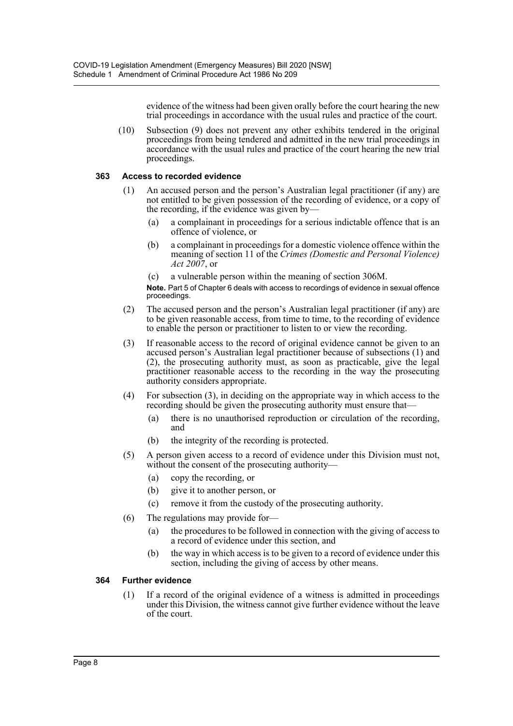evidence of the witness had been given orally before the court hearing the new trial proceedings in accordance with the usual rules and practice of the court.

(10) Subsection (9) does not prevent any other exhibits tendered in the original proceedings from being tendered and admitted in the new trial proceedings in accordance with the usual rules and practice of the court hearing the new trial proceedings.

#### **363 Access to recorded evidence**

- (1) An accused person and the person's Australian legal practitioner (if any) are not entitled to be given possession of the recording of evidence, or a copy of the recording, if the evidence was given by—
	- (a) a complainant in proceedings for a serious indictable offence that is an offence of violence, or
	- (b) a complainant in proceedings for a domestic violence offence within the meaning of section 11 of the *Crimes (Domestic and Personal Violence) Act 2007*, or
	- (c) a vulnerable person within the meaning of section 306M.

**Note.** Part 5 of Chapter 6 deals with access to recordings of evidence in sexual offence proceedings.

- (2) The accused person and the person's Australian legal practitioner (if any) are to be given reasonable access, from time to time, to the recording of evidence to enable the person or practitioner to listen to or view the recording.
- (3) If reasonable access to the record of original evidence cannot be given to an accused person's Australian legal practitioner because of subsections (1) and (2), the prosecuting authority must, as soon as practicable, give the legal practitioner reasonable access to the recording in the way the prosecuting authority considers appropriate.
- (4) For subsection (3), in deciding on the appropriate way in which access to the recording should be given the prosecuting authority must ensure that-
	- (a) there is no unauthorised reproduction or circulation of the recording, and
	- (b) the integrity of the recording is protected.
- (5) A person given access to a record of evidence under this Division must not, without the consent of the prosecuting authority—
	- (a) copy the recording, or
	- (b) give it to another person, or
	- (c) remove it from the custody of the prosecuting authority.
- (6) The regulations may provide for—
	- (a) the procedures to be followed in connection with the giving of access to a record of evidence under this section, and
	- (b) the way in which access is to be given to a record of evidence under this section, including the giving of access by other means.

#### **364 Further evidence**

(1) If a record of the original evidence of a witness is admitted in proceedings under this Division, the witness cannot give further evidence without the leave of the court.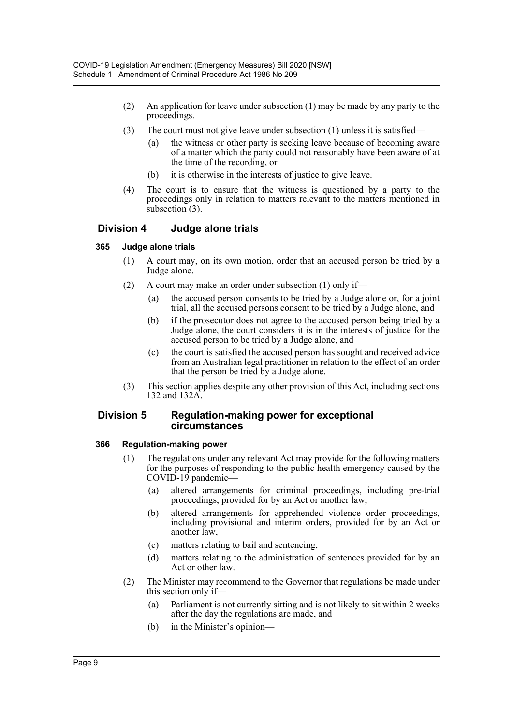- (2) An application for leave under subsection (1) may be made by any party to the proceedings.
- (3) The court must not give leave under subsection (1) unless it is satisfied—
	- (a) the witness or other party is seeking leave because of becoming aware of a matter which the party could not reasonably have been aware of at the time of the recording, or
	- (b) it is otherwise in the interests of justice to give leave.
- (4) The court is to ensure that the witness is questioned by a party to the proceedings only in relation to matters relevant to the matters mentioned in subsection (3).

#### **Division 4 Judge alone trials**

#### **365 Judge alone trials**

- (1) A court may, on its own motion, order that an accused person be tried by a Judge alone.
- (2) A court may make an order under subsection (1) only if—
	- (a) the accused person consents to be tried by a Judge alone or, for a joint trial, all the accused persons consent to be tried by a Judge alone, and
	- (b) if the prosecutor does not agree to the accused person being tried by a Judge alone, the court considers it is in the interests of justice for the accused person to be tried by a Judge alone, and
	- (c) the court is satisfied the accused person has sought and received advice from an Australian legal practitioner in relation to the effect of an order that the person be tried by a Judge alone.
- (3) This section applies despite any other provision of this Act, including sections 132 and 132A.

#### **Division 5 Regulation-making power for exceptional circumstances**

#### **366 Regulation-making power**

- (1) The regulations under any relevant Act may provide for the following matters for the purposes of responding to the public health emergency caused by the COVID-19 pandemic—
	- (a) altered arrangements for criminal proceedings, including pre-trial proceedings, provided for by an Act or another law,
	- (b) altered arrangements for apprehended violence order proceedings, including provisional and interim orders, provided for by an Act or another law,
	- (c) matters relating to bail and sentencing,
	- (d) matters relating to the administration of sentences provided for by an Act or other law.
- (2) The Minister may recommend to the Governor that regulations be made under this section only if—
	- (a) Parliament is not currently sitting and is not likely to sit within 2 weeks after the day the regulations are made, and
	- (b) in the Minister's opinion—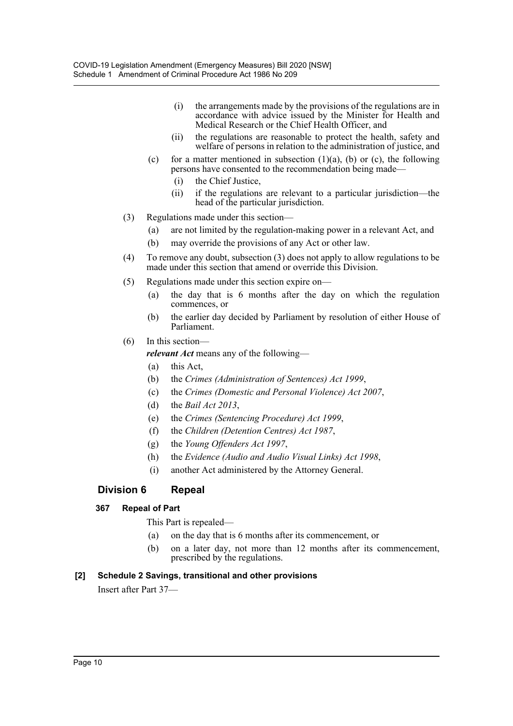- (i) the arrangements made by the provisions of the regulations are in accordance with advice issued by the Minister for Health and Medical Research or the Chief Health Officer, and
- (ii) the regulations are reasonable to protect the health, safety and welfare of persons in relation to the administration of justice, and
- (c) for a matter mentioned in subsection  $(1)(a)$ ,  $(b)$  or  $(c)$ , the following persons have consented to the recommendation being made—
	- (i) the Chief Justice,
	- (ii) if the regulations are relevant to a particular jurisdiction—the head of the particular jurisdiction.
- (3) Regulations made under this section—
	- (a) are not limited by the regulation-making power in a relevant Act, and
	- (b) may override the provisions of any Act or other law.
- (4) To remove any doubt, subsection (3) does not apply to allow regulations to be made under this section that amend or override this Division.
- (5) Regulations made under this section expire on—
	- (a) the day that is 6 months after the day on which the regulation commences, or
	- (b) the earlier day decided by Parliament by resolution of either House of Parliament.
- (6) In this section—

*relevant Act* means any of the following—

- (a) this Act,
- (b) the *Crimes (Administration of Sentences) Act 1999*,
- (c) the *Crimes (Domestic and Personal Violence) Act 2007*,
- (d) the *Bail Act 2013*,
- (e) the *Crimes (Sentencing Procedure) Act 1999*,
- (f) the *Children (Detention Centres) Act 1987*,
- (g) the *Young Offenders Act 1997*,
- (h) the *Evidence (Audio and Audio Visual Links) Act 1998*,
- (i) another Act administered by the Attorney General.

#### **Division 6 Repeal**

#### **367 Repeal of Part**

This Part is repealed—

- (a) on the day that is 6 months after its commencement, or
- (b) on a later day, not more than 12 months after its commencement, prescribed by the regulations.

#### **[2] Schedule 2 Savings, transitional and other provisions**

Insert after Part 37—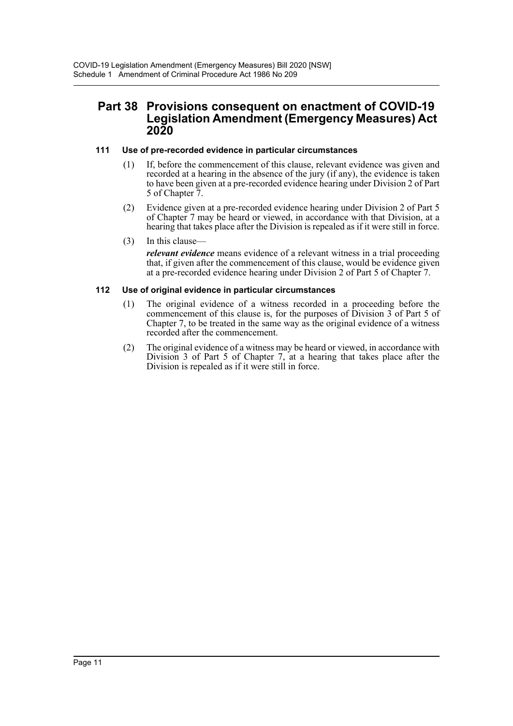## **Part 38 Provisions consequent on enactment of COVID-19 Legislation Amendment (Emergency Measures) Act 2020**

#### **111 Use of pre-recorded evidence in particular circumstances**

- (1) If, before the commencement of this clause, relevant evidence was given and recorded at a hearing in the absence of the jury (if any), the evidence is taken to have been given at a pre-recorded evidence hearing under Division 2 of Part 5 of Chapter 7.
- (2) Evidence given at a pre-recorded evidence hearing under Division 2 of Part 5 of Chapter 7 may be heard or viewed, in accordance with that Division, at a hearing that takes place after the Division is repealed as if it were still in force.
- (3) In this clause—

*relevant evidence* means evidence of a relevant witness in a trial proceeding that, if given after the commencement of this clause, would be evidence given at a pre-recorded evidence hearing under Division 2 of Part 5 of Chapter 7.

#### **112 Use of original evidence in particular circumstances**

- (1) The original evidence of a witness recorded in a proceeding before the commencement of this clause is, for the purposes of Division 3 of Part 5 of Chapter 7, to be treated in the same way as the original evidence of a witness recorded after the commencement.
- (2) The original evidence of a witness may be heard or viewed, in accordance with Division 3 of Part 5 of Chapter 7, at a hearing that takes place after the Division is repealed as if it were still in force.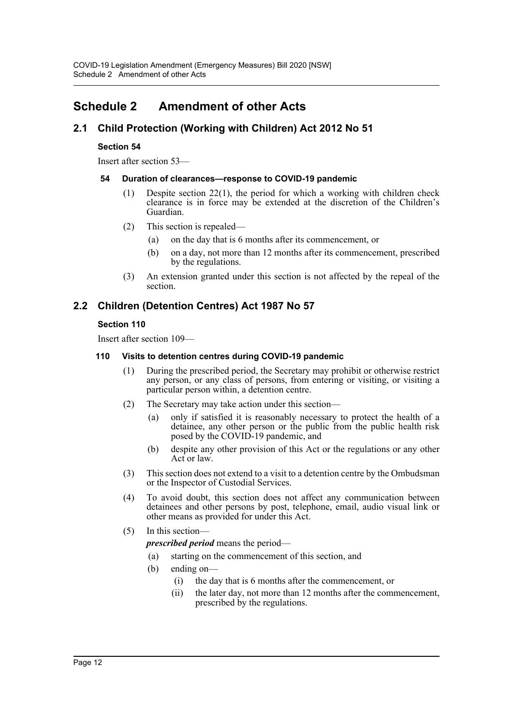## <span id="page-11-0"></span>**Schedule 2 Amendment of other Acts**

## **2.1 Child Protection (Working with Children) Act 2012 No 51**

#### **Section 54**

Insert after section 53—

#### **54 Duration of clearances—response to COVID-19 pandemic**

- (1) Despite section 22(1), the period for which a working with children check clearance is in force may be extended at the discretion of the Children's Guardian.
- (2) This section is repealed—
	- (a) on the day that is 6 months after its commencement, or
	- (b) on a day, not more than 12 months after its commencement, prescribed by the regulations.
- (3) An extension granted under this section is not affected by the repeal of the section.

## **2.2 Children (Detention Centres) Act 1987 No 57**

#### **Section 110**

Insert after section 109—

#### **110 Visits to detention centres during COVID-19 pandemic**

- (1) During the prescribed period, the Secretary may prohibit or otherwise restrict any person, or any class of persons, from entering or visiting, or visiting a particular person within, a detention centre.
- (2) The Secretary may take action under this section—
	- (a) only if satisfied it is reasonably necessary to protect the health of a detainee, any other person or the public from the public health risk posed by the COVID-19 pandemic, and
	- (b) despite any other provision of this Act or the regulations or any other Act or law.
- (3) This section does not extend to a visit to a detention centre by the Ombudsman or the Inspector of Custodial Services.
- (4) To avoid doubt, this section does not affect any communication between detainees and other persons by post, telephone, email, audio visual link or other means as provided for under this Act.
- (5) In this section
	- *prescribed period* means the period—
	- (a) starting on the commencement of this section, and
	- (b) ending on—
		- (i) the day that is 6 months after the commencement, or
		- (ii) the later day, not more than 12 months after the commencement, prescribed by the regulations.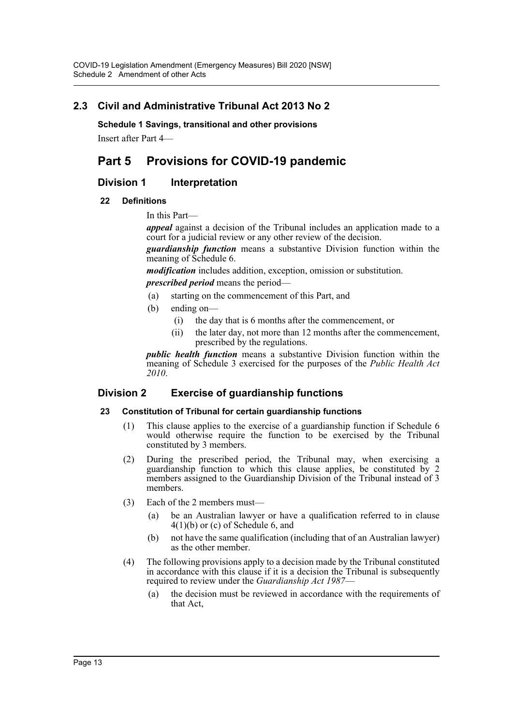## **2.3 Civil and Administrative Tribunal Act 2013 No 2**

**Schedule 1 Savings, transitional and other provisions**

Insert after Part 4—

## **Part 5 Provisions for COVID-19 pandemic**

#### **Division 1** Interpretation

#### **22 Definitions**

In this Part—

*appeal* against a decision of the Tribunal includes an application made to a court for a judicial review or any other review of the decision.

*guardianship function* means a substantive Division function within the meaning of Schedule 6.

*modification* includes addition, exception, omission or substitution.

*prescribed period* means the period—

- (a) starting on the commencement of this Part, and
- (b) ending on—
	- (i) the day that is 6 months after the commencement, or
	- (ii) the later day, not more than 12 months after the commencement, prescribed by the regulations.

*public health function* means a substantive Division function within the meaning of Schedule 3 exercised for the purposes of the *Public Health Act 2010*.

#### **Division 2 Exercise of guardianship functions**

#### **23 Constitution of Tribunal for certain guardianship functions**

- (1) This clause applies to the exercise of a guardianship function if Schedule 6 would otherwise require the function to be exercised by the Tribunal constituted by 3 members.
- (2) During the prescribed period, the Tribunal may, when exercising a guardianship function to which this clause applies, be constituted by 2 members assigned to the Guardianship Division of the Tribunal instead of 3 members.
- (3) Each of the 2 members must—
	- (a) be an Australian lawyer or have a qualification referred to in clause 4(1)(b) or (c) of Schedule 6, and
	- (b) not have the same qualification (including that of an Australian lawyer) as the other member.
- (4) The following provisions apply to a decision made by the Tribunal constituted in accordance with this clause if it is a decision the Tribunal is subsequently required to review under the *Guardianship Act 1987*—
	- (a) the decision must be reviewed in accordance with the requirements of that Act,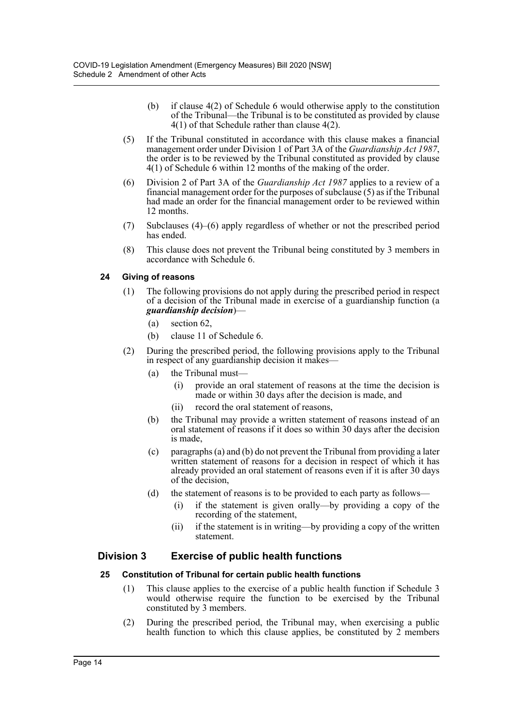- (b) if clause 4(2) of Schedule 6 would otherwise apply to the constitution of the Tribunal—the Tribunal is to be constituted as provided by clause 4(1) of that Schedule rather than clause 4(2).
- (5) If the Tribunal constituted in accordance with this clause makes a financial management order under Division 1 of Part 3A of the *Guardianship Act 1987*, the order is to be reviewed by the *Tribunal* constituted as provided by clause 4(1) of Schedule 6 within 12 months of the making of the order.
- (6) Division 2 of Part 3A of the *Guardianship Act 1987* applies to a review of a financial management order for the purposes of subclause (5) as if the Tribunal had made an order for the financial management order to be reviewed within 12 months.
- (7) Subclauses (4)–(6) apply regardless of whether or not the prescribed period has ended.
- (8) This clause does not prevent the Tribunal being constituted by 3 members in accordance with Schedule 6.

#### **24 Giving of reasons**

- (1) The following provisions do not apply during the prescribed period in respect of a decision of the Tribunal made in exercise of a guardianship function (a *guardianship decision*)—
	- (a) section 62,
	- (b) clause 11 of Schedule 6.
- (2) During the prescribed period, the following provisions apply to the Tribunal in respect of any guardianship decision it makes—
	- (a) the Tribunal must—
		- (i) provide an oral statement of reasons at the time the decision is made or within 30 days after the decision is made, and
		- (ii) record the oral statement of reasons,
	- (b) the Tribunal may provide a written statement of reasons instead of an oral statement of reasons if it does so within 30 days after the decision is made,
	- (c) paragraphs (a) and (b) do not prevent the Tribunal from providing a later written statement of reasons for a decision in respect of which it has already provided an oral statement of reasons even if it is after 30 days of the decision,
	- (d) the statement of reasons is to be provided to each party as follows—
		- (i) if the statement is given orally—by providing a copy of the recording of the statement,
		- (ii) if the statement is in writing—by providing a copy of the written statement.

## **Division 3 Exercise of public health functions**

#### **25 Constitution of Tribunal for certain public health functions**

- (1) This clause applies to the exercise of a public health function if Schedule 3 would otherwise require the function to be exercised by the Tribunal constituted by 3 members.
- (2) During the prescribed period, the Tribunal may, when exercising a public health function to which this clause applies, be constituted by 2 members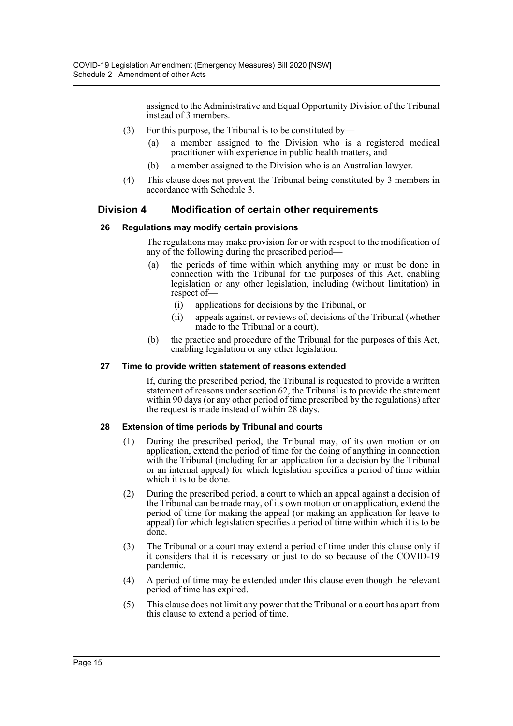assigned to the Administrative and Equal Opportunity Division of the Tribunal instead of 3 members.

- (3) For this purpose, the Tribunal is to be constituted by—
	- (a) a member assigned to the Division who is a registered medical practitioner with experience in public health matters, and
	- (b) a member assigned to the Division who is an Australian lawyer.
- (4) This clause does not prevent the Tribunal being constituted by 3 members in accordance with Schedule 3.

## **Division 4 Modification of certain other requirements**

#### **26 Regulations may modify certain provisions**

The regulations may make provision for or with respect to the modification of any of the following during the prescribed period—

- (a) the periods of time within which anything may or must be done in connection with the Tribunal for the purposes of this Act, enabling legislation or any other legislation, including (without limitation) in respect of—
	- (i) applications for decisions by the Tribunal, or
	- (ii) appeals against, or reviews of, decisions of the Tribunal (whether made to the Tribunal or a court),
- (b) the practice and procedure of the Tribunal for the purposes of this Act, enabling legislation or any other legislation.

#### **27 Time to provide written statement of reasons extended**

If, during the prescribed period, the Tribunal is requested to provide a written statement of reasons under section 62, the Tribunal is to provide the statement within 90 days (or any other period of time prescribed by the regulations) after the request is made instead of within 28 days.

#### **28 Extension of time periods by Tribunal and courts**

- (1) During the prescribed period, the Tribunal may, of its own motion or on application, extend the period of time for the doing of anything in connection with the Tribunal (including for an application for a decision by the Tribunal or an internal appeal) for which legislation specifies a period of time within which it is to be done.
- (2) During the prescribed period, a court to which an appeal against a decision of the Tribunal can be made may, of its own motion or on application, extend the period of time for making the appeal (or making an application for leave to appeal) for which legislation specifies a period of time within which it is to be done.
- (3) The Tribunal or a court may extend a period of time under this clause only if it considers that it is necessary or just to do so because of the COVID-19 pandemic.
- (4) A period of time may be extended under this clause even though the relevant period of time has expired.
- (5) This clause does not limit any power that the Tribunal or a court has apart from this clause to extend a period of time.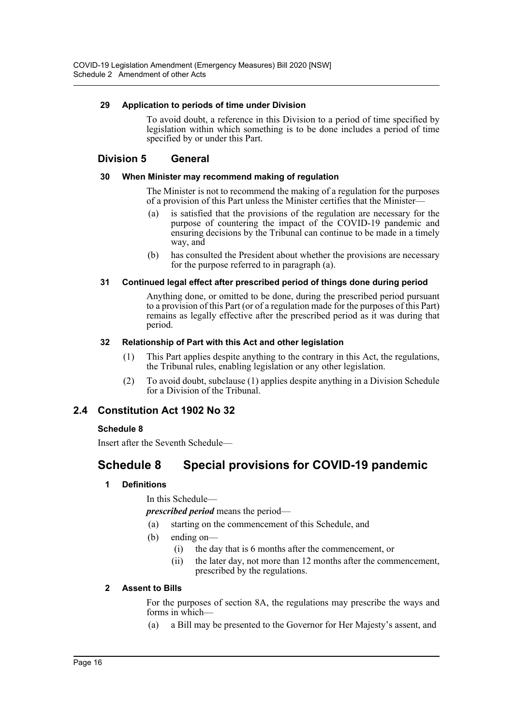#### **29 Application to periods of time under Division**

To avoid doubt, a reference in this Division to a period of time specified by legislation within which something is to be done includes a period of time specified by or under this Part.

#### **Division 5 General**

#### **30 When Minister may recommend making of regulation**

The Minister is not to recommend the making of a regulation for the purposes of a provision of this Part unless the Minister certifies that the Minister—

- (a) is satisfied that the provisions of the regulation are necessary for the purpose of countering the impact of the COVID-19 pandemic and ensuring decisions by the Tribunal can continue to be made in a timely way, and
- (b) has consulted the President about whether the provisions are necessary for the purpose referred to in paragraph (a).

#### **31 Continued legal effect after prescribed period of things done during period**

Anything done, or omitted to be done, during the prescribed period pursuant to a provision of this Part (or of a regulation made for the purposes of this Part) remains as legally effective after the prescribed period as it was during that period.

#### **32 Relationship of Part with this Act and other legislation**

- (1) This Part applies despite anything to the contrary in this Act, the regulations, the Tribunal rules, enabling legislation or any other legislation.
- (2) To avoid doubt, subclause (1) applies despite anything in a Division Schedule for a Division of the Tribunal.

## **2.4 Constitution Act 1902 No 32**

#### **Schedule 8**

Insert after the Seventh Schedule—

## **Schedule 8 Special provisions for COVID-19 pandemic**

#### **1 Definitions**

In this Schedule—

*prescribed period* means the period—

- (a) starting on the commencement of this Schedule, and
- (b) ending on—
	- (i) the day that is 6 months after the commencement, or
	- (ii) the later day, not more than 12 months after the commencement, prescribed by the regulations.

#### **2 Assent to Bills**

For the purposes of section 8A, the regulations may prescribe the ways and forms in which-

(a) a Bill may be presented to the Governor for Her Majesty's assent, and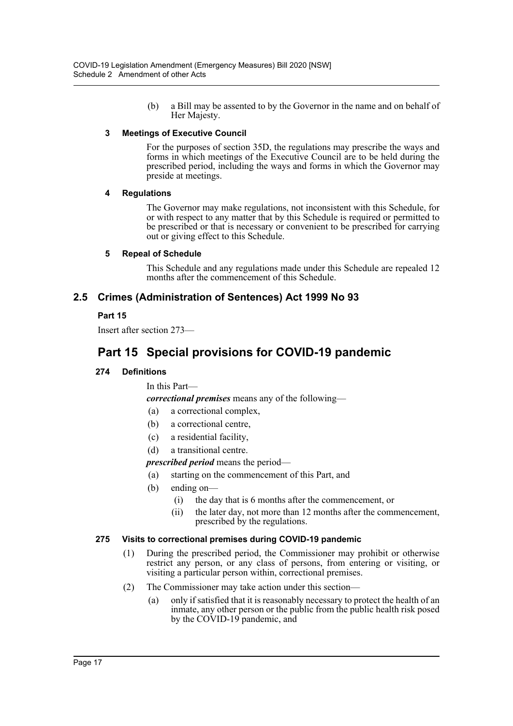(b) a Bill may be assented to by the Governor in the name and on behalf of Her Majesty.

#### **3 Meetings of Executive Council**

For the purposes of section 35D, the regulations may prescribe the ways and forms in which meetings of the Executive Council are to be held during the prescribed period, including the ways and forms in which the Governor may preside at meetings.

#### **4 Regulations**

The Governor may make regulations, not inconsistent with this Schedule, for or with respect to any matter that by this Schedule is required or permitted to be prescribed or that is necessary or convenient to be prescribed for carrying out or giving effect to this Schedule.

#### **5 Repeal of Schedule**

This Schedule and any regulations made under this Schedule are repealed 12 months after the commencement of this Schedule.

## **2.5 Crimes (Administration of Sentences) Act 1999 No 93**

#### **Part 15**

Insert after section 273—

## **Part 15 Special provisions for COVID-19 pandemic**

#### **274 Definitions**

In this Part—

*correctional premises* means any of the following—

- (a) a correctional complex,
- (b) a correctional centre,
- (c) a residential facility,
- (d) a transitional centre.

*prescribed period* means the period—

- (a) starting on the commencement of this Part, and
- (b) ending on—
	- (i) the day that is 6 months after the commencement, or
	- (ii) the later day, not more than 12 months after the commencement, prescribed by the regulations.

#### **275 Visits to correctional premises during COVID-19 pandemic**

- (1) During the prescribed period, the Commissioner may prohibit or otherwise restrict any person, or any class of persons, from entering or visiting, or visiting a particular person within, correctional premises.
- (2) The Commissioner may take action under this section—
	- (a) only if satisfied that it is reasonably necessary to protect the health of an inmate, any other person or the public from the public health risk posed by the COVID-19 pandemic, and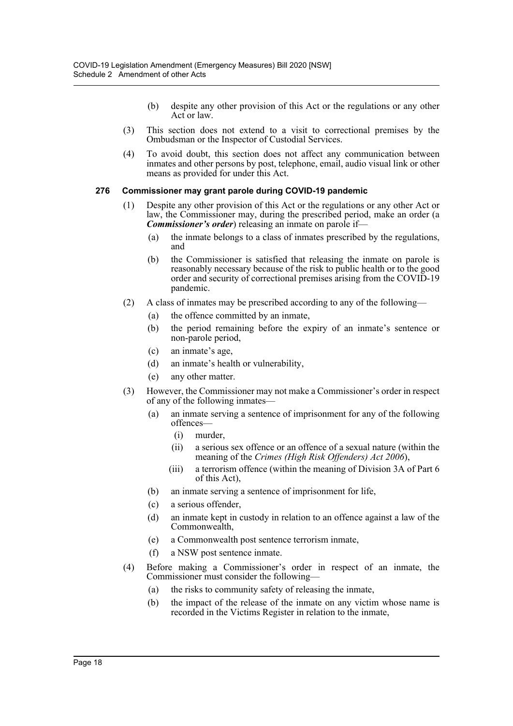- (b) despite any other provision of this Act or the regulations or any other Act or law.
- (3) This section does not extend to a visit to correctional premises by the Ombudsman or the Inspector of Custodial Services.
- (4) To avoid doubt, this section does not affect any communication between inmates and other persons by post, telephone, email, audio visual link or other means as provided for under this Act.

#### **276 Commissioner may grant parole during COVID-19 pandemic**

- (1) Despite any other provision of this Act or the regulations or any other Act or law, the Commissioner may, during the prescribed period, make an order (a *Commissioner's order*) releasing an inmate on parole if—
	- (a) the inmate belongs to a class of inmates prescribed by the regulations, and
	- (b) the Commissioner is satisfied that releasing the inmate on parole is reasonably necessary because of the risk to public health or to the good order and security of correctional premises arising from the COVID-19 pandemic.
- (2) A class of inmates may be prescribed according to any of the following—
	- (a) the offence committed by an inmate,
	- (b) the period remaining before the expiry of an inmate's sentence or non-parole period,
	- (c) an inmate's age,
	- (d) an inmate's health or vulnerability,
	- (e) any other matter.
- (3) However, the Commissioner may not make a Commissioner's order in respect of any of the following inmates—
	- (a) an inmate serving a sentence of imprisonment for any of the following offences—
		- (i) murder,
		- (ii) a serious sex offence or an offence of a sexual nature (within the meaning of the *Crimes (High Risk Offenders) Act 2006*),
		- (iii) a terrorism offence (within the meaning of Division 3A of Part 6 of this Act),
	- (b) an inmate serving a sentence of imprisonment for life,
	- (c) a serious offender,
	- (d) an inmate kept in custody in relation to an offence against a law of the Commonwealth,
	- (e) a Commonwealth post sentence terrorism inmate,
	- (f) a NSW post sentence inmate.
- (4) Before making a Commissioner's order in respect of an inmate, the Commissioner must consider the following—
	- (a) the risks to community safety of releasing the inmate,
	- (b) the impact of the release of the inmate on any victim whose name is recorded in the Victims Register in relation to the inmate,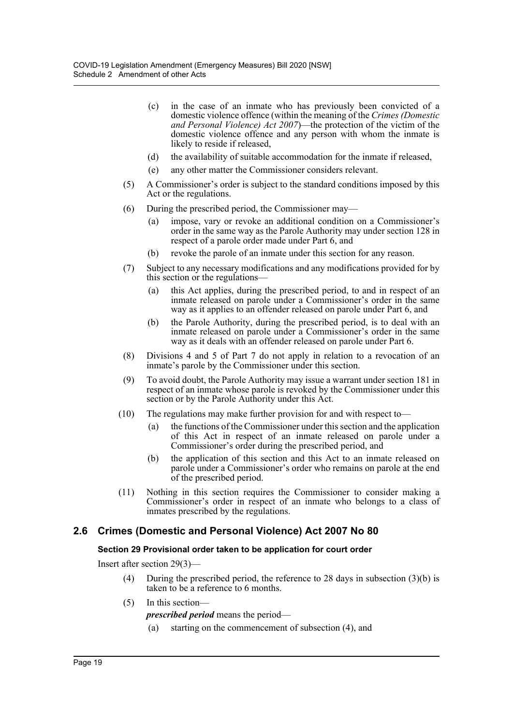- (c) in the case of an inmate who has previously been convicted of a domestic violence offence (within the meaning of the *Crimes (Domestic and Personal Violence) Act 2007*)—the protection of the victim of the domestic violence offence and any person with whom the inmate is likely to reside if released,
- (d) the availability of suitable accommodation for the inmate if released,
- (e) any other matter the Commissioner considers relevant.
- (5) A Commissioner's order is subject to the standard conditions imposed by this Act or the regulations.
- (6) During the prescribed period, the Commissioner may—
	- (a) impose, vary or revoke an additional condition on a Commissioner's order in the same way as the Parole Authority may under section 128 in respect of a parole order made under Part 6, and
	- (b) revoke the parole of an inmate under this section for any reason.
- (7) Subject to any necessary modifications and any modifications provided for by this section or the regulations—
	- (a) this Act applies, during the prescribed period, to and in respect of an inmate released on parole under a Commissioner's order in the same way as it applies to an offender released on parole under Part 6, and
	- (b) the Parole Authority, during the prescribed period, is to deal with an inmate released on parole under a Commissioner's order in the same way as it deals with an offender released on parole under Part 6.
- (8) Divisions 4 and 5 of Part 7 do not apply in relation to a revocation of an inmate's parole by the Commissioner under this section.
- (9) To avoid doubt, the Parole Authority may issue a warrant under section 181 in respect of an inmate whose parole is revoked by the Commissioner under this section or by the Parole Authority under this Act.
- (10) The regulations may make further provision for and with respect to—
	- (a) the functions of the Commissioner under this section and the application of this Act in respect of an inmate released on parole under a Commissioner's order during the prescribed period, and
	- (b) the application of this section and this Act to an inmate released on parole under a Commissioner's order who remains on parole at the end of the prescribed period.
- (11) Nothing in this section requires the Commissioner to consider making a Commissioner's order in respect of an inmate who belongs to a class of inmates prescribed by the regulations.

## **2.6 Crimes (Domestic and Personal Violence) Act 2007 No 80**

#### **Section 29 Provisional order taken to be application for court order**

Insert after section 29(3)—

- (4) During the prescribed period, the reference to 28 days in subsection (3)(b) is taken to be a reference to 6 months.
- (5) In this section—

*prescribed period* means the period—

(a) starting on the commencement of subsection (4), and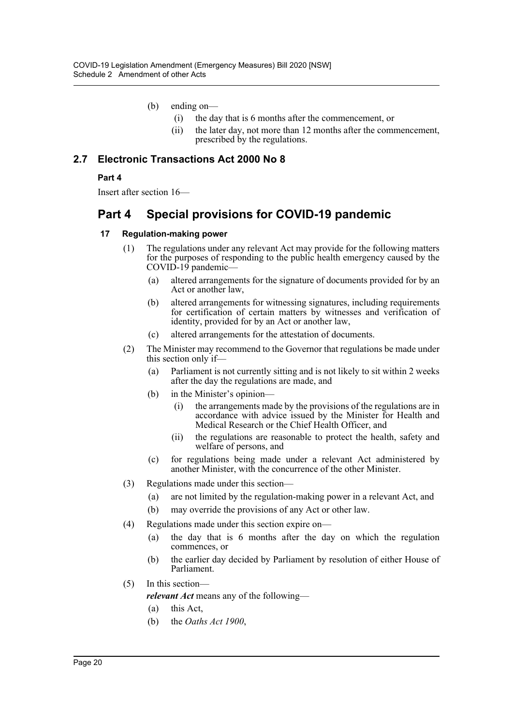- (b) ending on—
	- (i) the day that is 6 months after the commencement, or
	- (ii) the later day, not more than 12 months after the commencement, prescribed by the regulations.

## **2.7 Electronic Transactions Act 2000 No 8**

#### **Part 4**

Insert after section 16—

## **Part 4 Special provisions for COVID-19 pandemic**

#### **17 Regulation-making power**

- (1) The regulations under any relevant Act may provide for the following matters for the purposes of responding to the public health emergency caused by the COVID-19 pandemic—
	- (a) altered arrangements for the signature of documents provided for by an Act or another law,
	- (b) altered arrangements for witnessing signatures, including requirements for certification of certain matters by witnesses and verification of identity, provided for by an Act or another law,
	- (c) altered arrangements for the attestation of documents.
- (2) The Minister may recommend to the Governor that regulations be made under this section only if—
	- (a) Parliament is not currently sitting and is not likely to sit within 2 weeks after the day the regulations are made, and
	- (b) in the Minister's opinion—
		- (i) the arrangements made by the provisions of the regulations are in accordance with advice issued by the Minister for Health and Medical Research or the Chief Health Officer, and
		- (ii) the regulations are reasonable to protect the health, safety and welfare of persons, and
	- (c) for regulations being made under a relevant Act administered by another Minister, with the concurrence of the other Minister.
- (3) Regulations made under this section—
	- (a) are not limited by the regulation-making power in a relevant Act, and
	- (b) may override the provisions of any Act or other law.
- (4) Regulations made under this section expire on—
	- (a) the day that is 6 months after the day on which the regulation commences, or
	- (b) the earlier day decided by Parliament by resolution of either House of Parliament.
- (5) In this section *relevant Act* means any of the following—
	- (a) this Act,
	- (b) the *Oaths Act 1900*,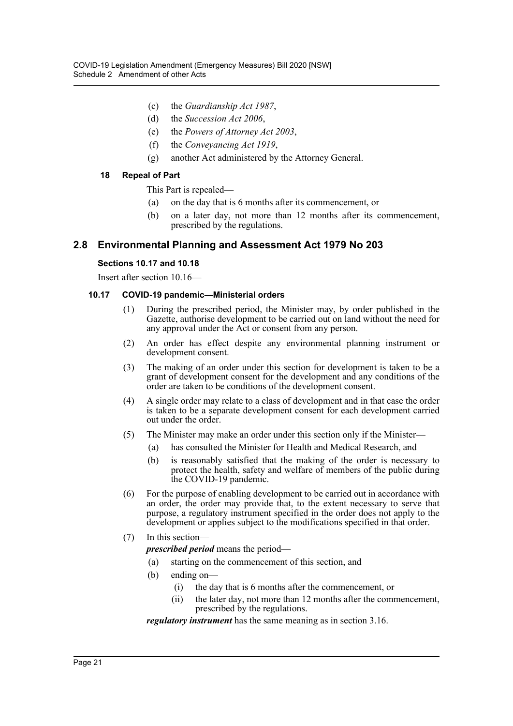- (c) the *Guardianship Act 1987*,
- (d) the *Succession Act 2006*,
- (e) the *Powers of Attorney Act 2003*,
- (f) the *Conveyancing Act 1919*,
- (g) another Act administered by the Attorney General.

#### **18 Repeal of Part**

This Part is repealed—

- (a) on the day that is 6 months after its commencement, or
- (b) on a later day, not more than 12 months after its commencement, prescribed by the regulations.

#### **2.8 Environmental Planning and Assessment Act 1979 No 203**

#### **Sections 10.17 and 10.18**

Insert after section 10.16—

#### **10.17 COVID-19 pandemic—Ministerial orders**

- (1) During the prescribed period, the Minister may, by order published in the Gazette, authorise development to be carried out on land without the need for any approval under the Act or consent from any person.
- (2) An order has effect despite any environmental planning instrument or development consent.
- (3) The making of an order under this section for development is taken to be a grant of development consent for the development and any conditions of the order are taken to be conditions of the development consent.
- (4) A single order may relate to a class of development and in that case the order is taken to be a separate development consent for each development carried out under the order.
- (5) The Minister may make an order under this section only if the Minister—
	- (a) has consulted the Minister for Health and Medical Research, and
	- (b) is reasonably satisfied that the making of the order is necessary to protect the health, safety and welfare of members of the public during the COVID-19 pandemic.
- (6) For the purpose of enabling development to be carried out in accordance with an order, the order may provide that, to the extent necessary to serve that purpose, a regulatory instrument specified in the order does not apply to the development or applies subject to the modifications specified in that order.

#### (7) In this section—

*prescribed period* means the period—

- (a) starting on the commencement of this section, and
- (b) ending on—
	- (i) the day that is 6 months after the commencement, or
	- (ii) the later day, not more than 12 months after the commencement, prescribed by the regulations.

*regulatory instrument* has the same meaning as in section 3.16.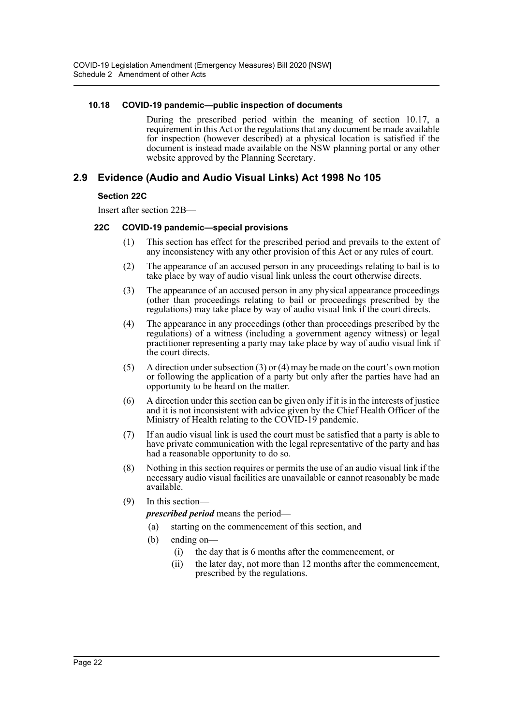#### **10.18 COVID-19 pandemic—public inspection of documents**

During the prescribed period within the meaning of section 10.17, a requirement in this Act or the regulations that any document be made available for inspection (however described) at a physical location is satisfied if the document is instead made available on the NSW planning portal or any other website approved by the Planning Secretary.

## **2.9 Evidence (Audio and Audio Visual Links) Act 1998 No 105**

#### **Section 22C**

Insert after section 22B—

#### **22C COVID-19 pandemic—special provisions**

- (1) This section has effect for the prescribed period and prevails to the extent of any inconsistency with any other provision of this Act or any rules of court.
- (2) The appearance of an accused person in any proceedings relating to bail is to take place by way of audio visual link unless the court otherwise directs.
- (3) The appearance of an accused person in any physical appearance proceedings (other than proceedings relating to bail or proceedings prescribed by the regulations) may take place by way of audio visual link if the court directs.
- (4) The appearance in any proceedings (other than proceedings prescribed by the regulations) of a witness (including a government agency witness) or legal practitioner representing a party may take place by way of audio visual link if the court directs.
- (5) A direction under subsection (3) or (4) may be made on the court's own motion or following the application of a party but only after the parties have had an opportunity to be heard on the matter.
- (6) A direction under this section can be given only if it is in the interests of justice and it is not inconsistent with advice given by the Chief Health Officer of the Ministry of Health relating to the COVID-19 pandemic.
- (7) If an audio visual link is used the court must be satisfied that a party is able to have private communication with the legal representative of the party and has had a reasonable opportunity to do so.
- (8) Nothing in this section requires or permits the use of an audio visual link if the necessary audio visual facilities are unavailable or cannot reasonably be made available.
- (9) In this section—

*prescribed period* means the period—

- (a) starting on the commencement of this section, and
- (b) ending on—
	- (i) the day that is 6 months after the commencement, or
	- (ii) the later day, not more than 12 months after the commencement, prescribed by the regulations.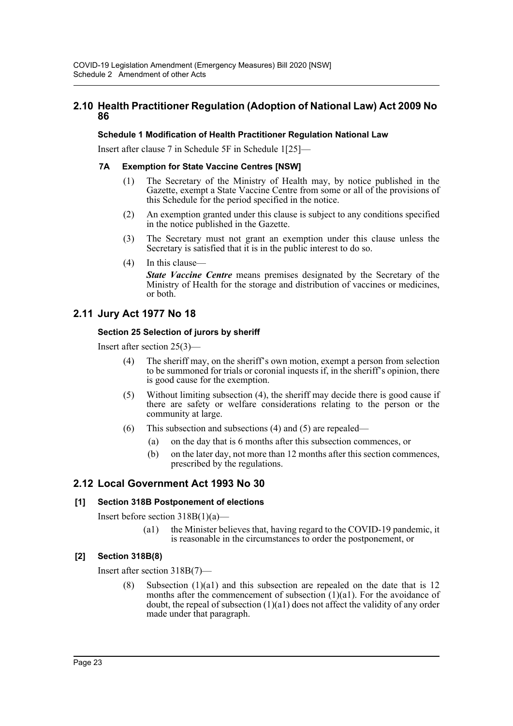## **2.10 Health Practitioner Regulation (Adoption of National Law) Act 2009 No 86**

#### **Schedule 1 Modification of Health Practitioner Regulation National Law**

Insert after clause 7 in Schedule 5F in Schedule 1[25]—

#### **7A Exemption for State Vaccine Centres [NSW]**

- (1) The Secretary of the Ministry of Health may, by notice published in the Gazette, exempt a State Vaccine Centre from some or all of the provisions of this Schedule for the period specified in the notice.
- (2) An exemption granted under this clause is subject to any conditions specified in the notice published in the Gazette.
- (3) The Secretary must not grant an exemption under this clause unless the Secretary is satisfied that it is in the public interest to do so.
- (4) In this clause—

*State Vaccine Centre* means premises designated by the Secretary of the Ministry of Health for the storage and distribution of vaccines or medicines, or both.

## **2.11 Jury Act 1977 No 18**

#### **Section 25 Selection of jurors by sheriff**

Insert after section 25(3)—

- (4) The sheriff may, on the sheriff's own motion, exempt a person from selection to be summoned for trials or coronial inquests if, in the sheriff's opinion, there is good cause for the exemption.
- (5) Without limiting subsection (4), the sheriff may decide there is good cause if there are safety or welfare considerations relating to the person or the community at large.
- (6) This subsection and subsections (4) and (5) are repealed—
	- (a) on the day that is 6 months after this subsection commences, or
	- (b) on the later day, not more than 12 months after this section commences, prescribed by the regulations.

## **2.12 Local Government Act 1993 No 30**

#### **[1] Section 318B Postponement of elections**

Insert before section  $318B(1)(a)$ —

(a1) the Minister believes that, having regard to the COVID-19 pandemic, it is reasonable in the circumstances to order the postponement, or

#### **[2] Section 318B(8)**

Insert after section 318B(7)—

(8) Subsection (1)(a1) and this subsection are repealed on the date that is 12 months after the commencement of subsection  $(1)(a1)$ . For the avoidance of doubt, the repeal of subsection (1)(a1) does not affect the validity of any order made under that paragraph.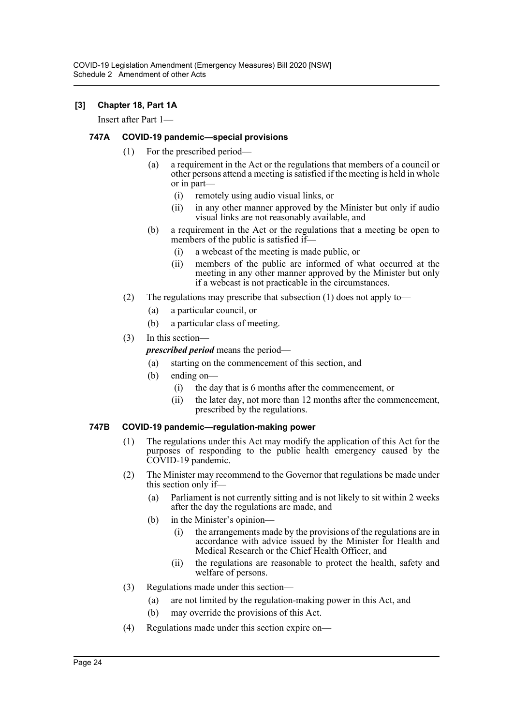#### **[3] Chapter 18, Part 1A**

Insert after Part 1—

#### **747A COVID-19 pandemic—special provisions**

- (1) For the prescribed period—
	- (a) a requirement in the Act or the regulations that members of a council or other persons attend a meeting is satisfied if the meeting is held in whole or in part—
		- (i) remotely using audio visual links, or
		- (ii) in any other manner approved by the Minister but only if audio visual links are not reasonably available, and
	- (b) a requirement in the Act or the regulations that a meeting be open to members of the public is satisfied if-
		- (i) a webcast of the meeting is made public, or
		- (ii) members of the public are informed of what occurred at the meeting in any other manner approved by the Minister but only if a webcast is not practicable in the circumstances.
- (2) The regulations may prescribe that subsection (1) does not apply to—
	- (a) a particular council, or
	- (b) a particular class of meeting.

#### (3) In this section—

*prescribed period* means the period—

- (a) starting on the commencement of this section, and
- (b) ending on—
	- (i) the day that is 6 months after the commencement, or
	- (ii) the later day, not more than 12 months after the commencement, prescribed by the regulations.

#### **747B COVID-19 pandemic—regulation-making power**

- (1) The regulations under this Act may modify the application of this Act for the purposes of responding to the public health emergency caused by the COVID-19 pandemic.
- (2) The Minister may recommend to the Governor that regulations be made under this section only if—
	- (a) Parliament is not currently sitting and is not likely to sit within 2 weeks after the day the regulations are made, and
	- (b) in the Minister's opinion—
		- (i) the arrangements made by the provisions of the regulations are in accordance with advice issued by the Minister for Health and Medical Research or the Chief Health Officer, and
		- (ii) the regulations are reasonable to protect the health, safety and welfare of persons.
- (3) Regulations made under this section—
	- (a) are not limited by the regulation-making power in this Act, and
	- (b) may override the provisions of this Act.
- (4) Regulations made under this section expire on—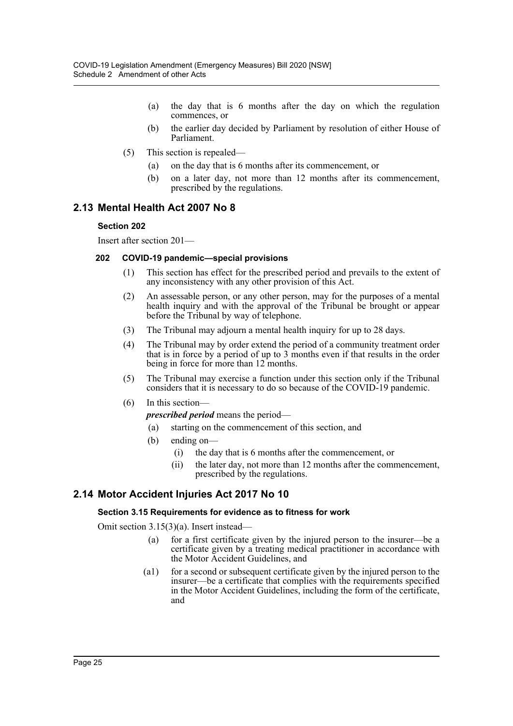- (a) the day that is 6 months after the day on which the regulation commences, or
- (b) the earlier day decided by Parliament by resolution of either House of Parliament.
- (5) This section is repealed—
	- (a) on the day that is 6 months after its commencement, or
	- (b) on a later day, not more than 12 months after its commencement, prescribed by the regulations.

#### **2.13 Mental Health Act 2007 No 8**

#### **Section 202**

Insert after section 201—

#### **202 COVID-19 pandemic—special provisions**

- (1) This section has effect for the prescribed period and prevails to the extent of any inconsistency with any other provision of this Act.
- (2) An assessable person, or any other person, may for the purposes of a mental health inquiry and with the approval of the Tribunal be brought or appear before the Tribunal by way of telephone.
- (3) The Tribunal may adjourn a mental health inquiry for up to 28 days.
- (4) The Tribunal may by order extend the period of a community treatment order that is in force by a period of up to 3 months even if that results in the order being in force for more than 12 months.
- (5) The Tribunal may exercise a function under this section only if the Tribunal considers that it is necessary to do so because of the COVID-19 pandemic.
- (6) In this section—

*prescribed period* means the period—

- (a) starting on the commencement of this section, and
- (b) ending on—
	- (i) the day that is 6 months after the commencement, or
	- (ii) the later day, not more than 12 months after the commencement, prescribed by the regulations.

## **2.14 Motor Accident Injuries Act 2017 No 10**

#### **Section 3.15 Requirements for evidence as to fitness for work**

Omit section 3.15(3)(a). Insert instead—

- (a) for a first certificate given by the injured person to the insurer—be a certificate given by a treating medical practitioner in accordance with the Motor Accident Guidelines, and
- (a1) for a second or subsequent certificate given by the injured person to the insurer—be a certificate that complies with the requirements specified in the Motor Accident Guidelines, including the form of the certificate, and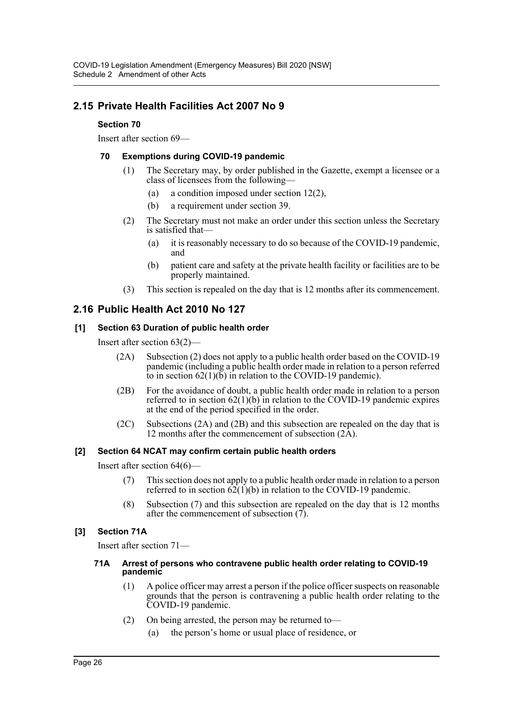## **2.15 Private Health Facilities Act 2007 No 9**

#### **Section 70**

Insert after section 69—

#### **70 Exemptions during COVID-19 pandemic**

- (1) The Secretary may, by order published in the Gazette, exempt a licensee or a class of licensees from the following—
	- (a) a condition imposed under section 12(2),
	- (b) a requirement under section 39.
- (2) The Secretary must not make an order under this section unless the Secretary is satisfied that-
	- (a) it is reasonably necessary to do so because of the COVID-19 pandemic, and
	- (b) patient care and safety at the private health facility or facilities are to be properly maintained.
- (3) This section is repealed on the day that is 12 months after its commencement.

## **2.16 Public Health Act 2010 No 127**

#### **[1] Section 63 Duration of public health order**

Insert after section 63(2)—

- (2A) Subsection (2) does not apply to a public health order based on the COVID-19 pandemic (including a public health order made in relation to a person referred to in section  $62(1)(\overline{b})$  in relation to the COVID-19 pandemic).
- (2B) For the avoidance of doubt, a public health order made in relation to a person referred to in section  $62(1)(b)$  in relation to the COVID-19 pandemic expires at the end of the period specified in the order.
- (2C) Subsections (2A) and (2B) and this subsection are repealed on the day that is 12 months after the commencement of subsection  $(2\text{\AA})$ .

#### **[2] Section 64 NCAT may confirm certain public health orders**

Insert after section 64(6)—

- (7) This section does not apply to a public health order made in relation to a person referred to in section  $62(1)(b)$  in relation to the COVID-19 pandemic.
- (8) Subsection (7) and this subsection are repealed on the day that is 12 months after the commencement of subsection (7).

#### **[3] Section 71A**

Insert after section 71—

#### **71A Arrest of persons who contravene public health order relating to COVID-19 pandemic**

- (1) A police officer may arrest a person if the police officer suspects on reasonable grounds that the person is contravening a public health order relating to the COVID-19 pandemic.
- (2) On being arrested, the person may be returned to—
	- (a) the person's home or usual place of residence, or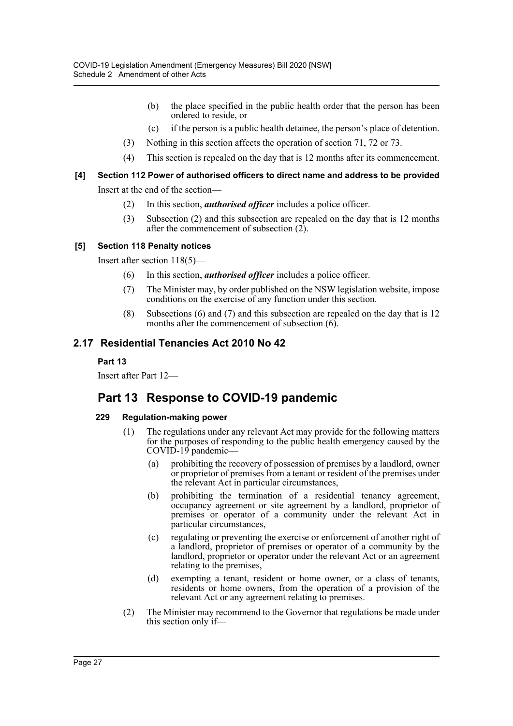- (b) the place specified in the public health order that the person has been ordered to reside, or
- (c) if the person is a public health detainee, the person's place of detention.
- (3) Nothing in this section affects the operation of section 71, 72 or 73.
- (4) This section is repealed on the day that is 12 months after its commencement.

## **[4] Section 112 Power of authorised officers to direct name and address to be provided**

Insert at the end of the section—

- (2) In this section, *authorised officer* includes a police officer.
- (3) Subsection (2) and this subsection are repealed on the day that is 12 months after the commencement of subsection (2).

#### **[5] Section 118 Penalty notices**

Insert after section 118(5)—

- (6) In this section, *authorised officer* includes a police officer.
- (7) The Minister may, by order published on the NSW legislation website, impose conditions on the exercise of any function under this section.
- (8) Subsections (6) and (7) and this subsection are repealed on the day that is 12 months after the commencement of subsection (6).

## **2.17 Residential Tenancies Act 2010 No 42**

#### **Part 13**

Insert after Part 12—

## **Part 13 Response to COVID-19 pandemic**

#### **229 Regulation-making power**

- (1) The regulations under any relevant Act may provide for the following matters for the purposes of responding to the public health emergency caused by the COVID-19 pandemic—
	- (a) prohibiting the recovery of possession of premises by a landlord, owner or proprietor of premises from a tenant or resident of the premises under the relevant Act in particular circumstances,
	- (b) prohibiting the termination of a residential tenancy agreement, occupancy agreement or site agreement by a landlord, proprietor of premises or operator of a community under the relevant Act in particular circumstances,
	- (c) regulating or preventing the exercise or enforcement of another right of a landlord, proprietor of premises or operator of a community by the landlord, proprietor or operator under the relevant Act or an agreement relating to the premises,
	- (d) exempting a tenant, resident or home owner, or a class of tenants, residents or home owners, from the operation of a provision of the relevant Act or any agreement relating to premises.
- (2) The Minister may recommend to the Governor that regulations be made under this section only if—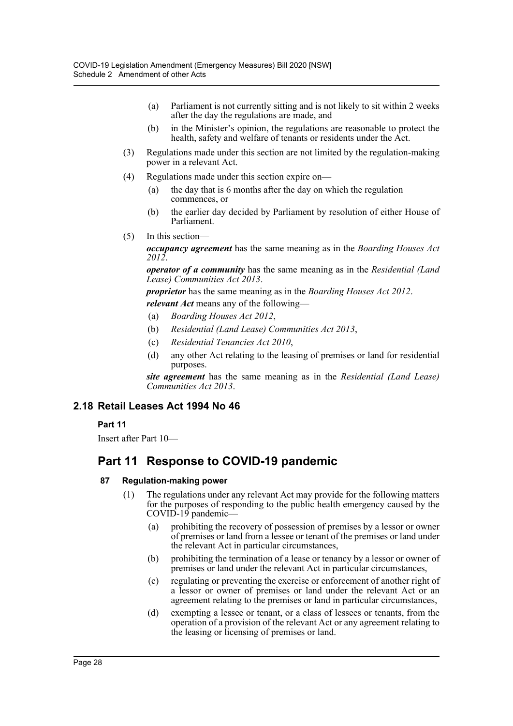- (a) Parliament is not currently sitting and is not likely to sit within 2 weeks after the day the regulations are made, and
- (b) in the Minister's opinion, the regulations are reasonable to protect the health, safety and welfare of tenants or residents under the Act.
- (3) Regulations made under this section are not limited by the regulation-making power in a relevant Act.
- (4) Regulations made under this section expire on—
	- (a) the day that is 6 months after the day on which the regulation commences, or
	- (b) the earlier day decided by Parliament by resolution of either House of Parliament.
- (5) In this section—

*occupancy agreement* has the same meaning as in the *Boarding Houses Act 2012*.

*operator of a community* has the same meaning as in the *Residential (Land Lease) Communities Act 2013*.

*proprietor* has the same meaning as in the *Boarding Houses Act 2012*.

*relevant Act* means any of the following—

- (a) *Boarding Houses Act 2012*,
- (b) *Residential (Land Lease) Communities Act 2013*,
- (c) *Residential Tenancies Act 2010*,
- (d) any other Act relating to the leasing of premises or land for residential purposes.

*site agreement* has the same meaning as in the *Residential (Land Lease) Communities Act 2013*.

#### **2.18 Retail Leases Act 1994 No 46**

#### **Part 11**

Insert after Part 10—

## **Part 11 Response to COVID-19 pandemic**

#### **87 Regulation-making power**

- (1) The regulations under any relevant Act may provide for the following matters for the purposes of responding to the public health emergency caused by the COVID-19 pandemic—
	- (a) prohibiting the recovery of possession of premises by a lessor or owner of premises or land from a lessee or tenant of the premises or land under the relevant Act in particular circumstances,
	- (b) prohibiting the termination of a lease or tenancy by a lessor or owner of premises or land under the relevant Act in particular circumstances,
	- (c) regulating or preventing the exercise or enforcement of another right of a lessor or owner of premises or land under the relevant Act or an agreement relating to the premises or land in particular circumstances,
	- (d) exempting a lessee or tenant, or a class of lessees or tenants, from the operation of a provision of the relevant Act or any agreement relating to the leasing or licensing of premises or land.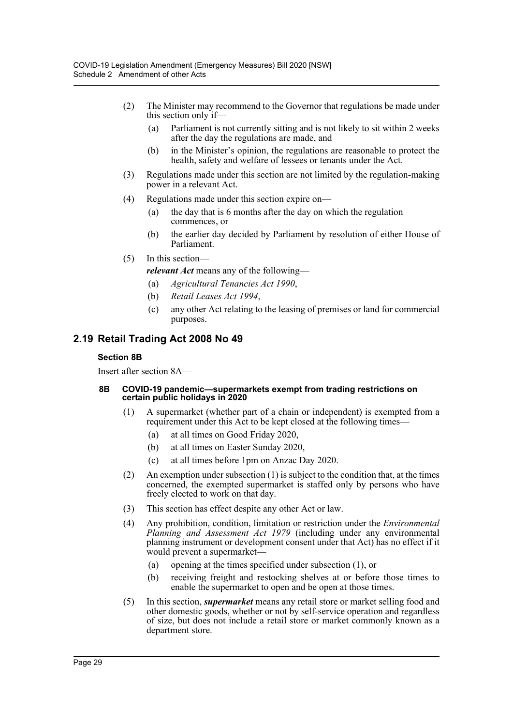- (2) The Minister may recommend to the Governor that regulations be made under this section only if—
	- (a) Parliament is not currently sitting and is not likely to sit within 2 weeks after the day the regulations are made, and
	- (b) in the Minister's opinion, the regulations are reasonable to protect the health, safety and welfare of lessees or tenants under the Act.
- (3) Regulations made under this section are not limited by the regulation-making power in a relevant Act.
- (4) Regulations made under this section expire on—
	- (a) the day that is 6 months after the day on which the regulation commences, or
	- (b) the earlier day decided by Parliament by resolution of either House of Parliament.
- (5) In this section
	- *relevant Act* means any of the following—
	- (a) *Agricultural Tenancies Act 1990*,
	- (b) *Retail Leases Act 1994*,
	- (c) any other Act relating to the leasing of premises or land for commercial purposes.

## **2.19 Retail Trading Act 2008 No 49**

#### **Section 8B**

Insert after section 8A—

#### **8B COVID-19 pandemic—supermarkets exempt from trading restrictions on certain public holidays in 2020**

- (1) A supermarket (whether part of a chain or independent) is exempted from a requirement under this Act to be kept closed at the following times—
	- (a) at all times on Good Friday 2020,
	- (b) at all times on Easter Sunday 2020,
	- (c) at all times before 1pm on Anzac Day 2020.
- (2) An exemption under subsection (1) is subject to the condition that, at the times concerned, the exempted supermarket is staffed only by persons who have freely elected to work on that day.
- (3) This section has effect despite any other Act or law.
- (4) Any prohibition, condition, limitation or restriction under the *Environmental Planning and Assessment Act 1979* (including under any environmental planning instrument or development consent under that Act) has no effect if it would prevent a supermarket—
	- (a) opening at the times specified under subsection (1), or
	- (b) receiving freight and restocking shelves at or before those times to enable the supermarket to open and be open at those times.
- (5) In this section, *supermarket* means any retail store or market selling food and other domestic goods, whether or not by self-service operation and regardless of size, but does not include a retail store or market commonly known as a department store.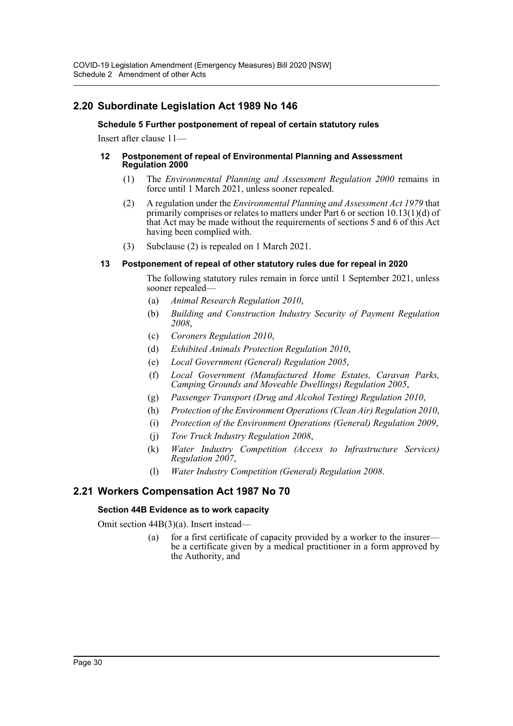## **2.20 Subordinate Legislation Act 1989 No 146**

#### **Schedule 5 Further postponement of repeal of certain statutory rules**

Insert after clause 11—

#### **12 Postponement of repeal of Environmental Planning and Assessment Regulation 2000**

- (1) The *Environmental Planning and Assessment Regulation 2000* remains in force until 1 March 2021, unless sooner repealed.
- (2) A regulation under the *Environmental Planning and Assessment Act 1979* that primarily comprises or relates to matters under Part 6 or section 10.13(1)(d) of that Act may be made without the requirements of sections 5 and 6 of this Act having been complied with.
- (3) Subclause (2) is repealed on 1 March 2021.

#### **13 Postponement of repeal of other statutory rules due for repeal in 2020**

The following statutory rules remain in force until 1 September 2021, unless sooner repealed—

- (a) *Animal Research Regulation 2010*,
- (b) *Building and Construction Industry Security of Payment Regulation 2008*,
- (c) *Coroners Regulation 2010*,
- (d) *Exhibited Animals Protection Regulation 2010*,
- (e) *Local Government (General) Regulation 2005*,
- (f) *Local Government (Manufactured Home Estates, Caravan Parks, Camping Grounds and Moveable Dwellings) Regulation 2005*,
- (g) *Passenger Transport (Drug and Alcohol Testing) Regulation 2010*,
- (h) *Protection of the Environment Operations (Clean Air) Regulation 2010*,
- (i) *Protection of the Environment Operations (General) Regulation 2009*,
- (j) *Tow Truck Industry Regulation 2008*,
- (k) *Water Industry Competition (Access to Infrastructure Services) Regulation 2007*,
- (l) *Water Industry Competition (General) Regulation 2008*.

## **2.21 Workers Compensation Act 1987 No 70**

#### **Section 44B Evidence as to work capacity**

Omit section 44B(3)(a). Insert instead—

(a) for a first certificate of capacity provided by a worker to the insurer be a certificate given by a medical practitioner in a form approved by the Authority, and